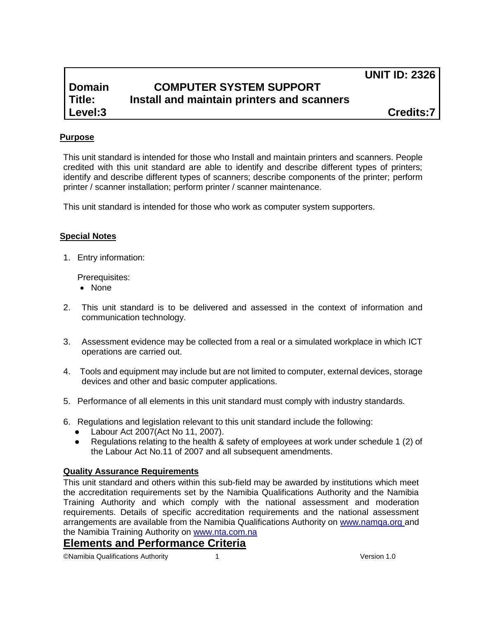**UNIT ID: 2326**

# **Domain COMPUTER SYSTEM SUPPORT Title: Install and maintain printers and scanners**

**Level:3 Credits:7**

## **Purpose**

This unit standard is intended for those who Install and maintain printers and scanners. People credited with this unit standard are able to identify and describe different types of printers; identify and describe different types of scanners; describe components of the printer; perform printer / scanner installation; perform printer / scanner maintenance.

This unit standard is intended for those who work as computer system supporters.

### **Special Notes**

1. Entry information:

Prerequisites:

- None
- 2. This unit standard is to be delivered and assessed in the context of information and communication technology.
- 3. Assessment evidence may be collected from a real or a simulated workplace in which ICT operations are carried out.
- 4. Tools and equipment may include but are not limited to computer, external devices, storage devices and other and basic computer applications.
- 5. Performance of all elements in this unit standard must comply with industry standards.
- 6. Regulations and legislation relevant to this unit standard include the following:
	- Labour Act 2007(Act No 11, 2007).
	- Regulations relating to the health & safety of employees at work under schedule 1 (2) of the Labour Act No.11 of 2007 and all subsequent amendments.

## **Quality Assurance Requirements**

This unit standard and others within this sub-field may be awarded by institutions which meet the accreditation requirements set by the Namibia Qualifications Authority and the Namibia Training Authority and which comply with the national assessment and moderation requirements. Details of specific accreditation requirements and the national assessment arrangements are available from the Namibia Qualifications Authority on [www.namqa.org a](http://www.namqa.org/)nd the Namibia Training Authority on [www.nta.com.na](http://www.nta.com.na/)

## **Elements and Performance Criteria**

©Namibia Qualifications Authority 1 Version 1.0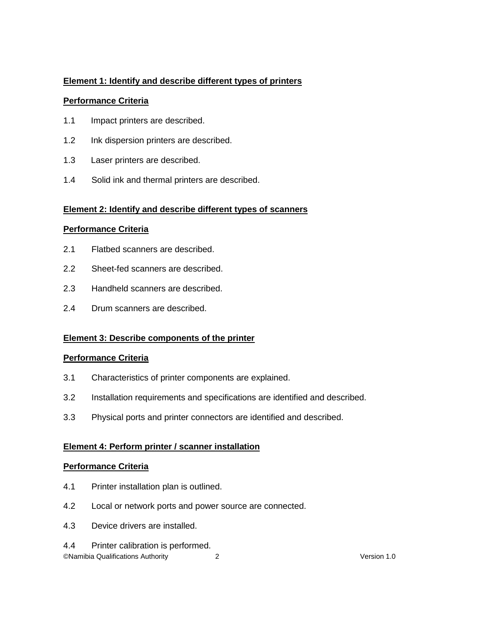## **Element 1: Identify and describe different types of printers**

### **Performance Criteria**

- 1.1 Impact printers are described.
- 1.2 Ink dispersion printers are described.
- 1.3 Laser printers are described.
- 1.4 Solid ink and thermal printers are described.

## **Element 2: Identify and describe different types of scanners**

### **Performance Criteria**

- 2.1 Flatbed scanners are described.
- 2.2 Sheet-fed scanners are described.
- 2.3 Handheld scanners are described.
- 2.4 Drum scanners are described.

## **Element 3: Describe components of the printer**

## **Performance Criteria**

- 3.1 Characteristics of printer components are explained.
- 3.2 Installation requirements and specifications are identified and described.
- 3.3 Physical ports and printer connectors are identified and described.

## **Element 4: Perform printer / scanner installation**

## **Performance Criteria**

- 4.1 Printer installation plan is outlined.
- 4.2 Local or network ports and power source are connected.
- 4.3 Device drivers are installed.
- 4.4 Printer calibration is performed.

©Namibia Qualifications Authority 2 Version 1.0